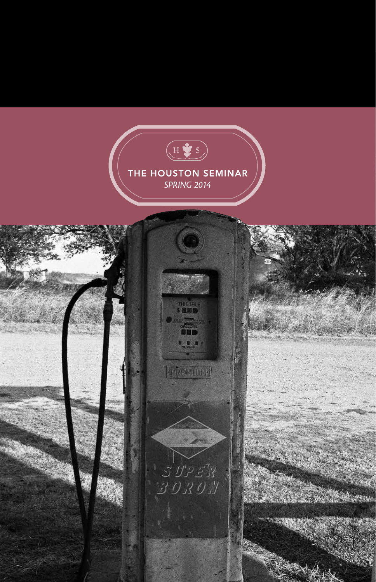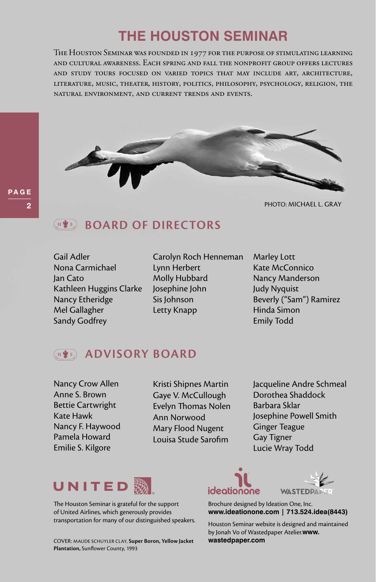# **the houston seminar**

The Houston Seminar was founded in 1977 for the purpose of stimulating learning and cultural awareness. Each spring and fall the nonprofit group offers lectures and study tours focused on varied topics that may include art, architecture, literature, music, theater, history, politics, philosophy, psychology, religion, the natural environment, and current trends and events.



### PHOTO: Michael L. Gray

### **BOARD OF DIRECTORS**  $\left( \begin{smallmatrix} 4 & \bullet & 5 \end{smallmatrix} \right)$

Gail Adler Nona Carmichael Jan Cato Kathleen Huggins Clarke Nancy Etheridge Mel Gallagher Sandy Godfrey

Carolyn Roch Henneman Lynn Herbert Molly Hubbard Josephine John Sis Johnson Letty Knapp

Marley Lott Kate McConnico Nancy Manderson Judy Nyquist Beverly ("Sam") Ramirez Hinda Simon Emily Todd

### **Advisory Board**  $($ , H  $\bigstar$  s  $)$

Nancy Crow Allen Anne S. Brown Bettie Cartwright Kate Hawk Nancy F. Haywood Pamela Howard Emilie S. Kilgore

Kristi Shipnes Martin Gaye V. McCullough Evelyn Thomas Nolen Ann Norwood Mary Flood Nugent Louisa Stude Sarofim

Jacqueline Andre Schmeal Dorothea Shaddock Barbara Sklar Josephine Powell Smith Ginger Teague Gay Tigner Lucie Wray Todd



The Houston Seminar is grateful for the support of United Airlines, which generously provides transportation for many of our distinguished speakers.

COVER: Maude Schuyler Clay, **Super Boron, Yellow Jacket wastedpaper.com Plantation,** Sunflower County, 1993





Brochure designed by Ideation One, Inc. **www.ideationone.com | 713.524.idea(8443)**

Houston Seminar website is designed and maintained by Jonah Vo of Wastedpaper Atelier.**www.**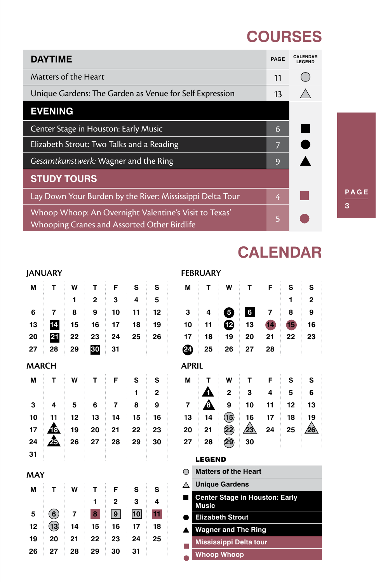# **COURSES**

**CALENDAR**

| <b>DAYTIME</b>                                                                                       | <b>PAGF</b> | <b>CAI FNDAR</b><br><b>LEGEND</b> |
|------------------------------------------------------------------------------------------------------|-------------|-----------------------------------|
| Matters of the Heart                                                                                 | 11          |                                   |
| Unique Gardens: The Garden as Venue for Self Expression                                              | 13          |                                   |
| <b>EVENING</b>                                                                                       |             |                                   |
| Center Stage in Houston: Early Music                                                                 | 6           |                                   |
| Elizabeth Strout: Two Talks and a Reading                                                            | 7           |                                   |
| Gesamtkunstwerk: Wagner and the Ring                                                                 | 9           |                                   |
| <b>STUDY TOURS</b>                                                                                   |             |                                   |
| Lay Down Your Burden by the River: Mississippi Delta Tour                                            | 4           |                                   |
| Whoop Whoop: An Overnight Valentine's Visit to Texas'<br>Whooping Cranes and Assorted Other Birdlife | 5           |                                   |

3 PAGE

### **JANUARY**

| M            | т                                              | W              | т            | F              | S  | S            | M              | т             | W                              | T              | F  | S               | S                       |
|--------------|------------------------------------------------|----------------|--------------|----------------|----|--------------|----------------|---------------|--------------------------------|----------------|----|-----------------|-------------------------|
|              |                                                | 1              | $\mathbf{2}$ | 3              | 4  | 5            |                |               |                                |                |    | 1               | $\overline{\mathbf{c}}$ |
| 6            | 7                                              | 8              | 9            | 10             | 11 | 12           | 3              | 4             | 0                              | $6\phantom{a}$ | 7  | 8               | 9                       |
| 13           | 14                                             | 15             | 16           | 17             | 18 | 19           | 10             | 11            | ®                              | 13             | 14 | 15 <sub>l</sub> | 16                      |
| 20           | 21                                             | 22             | 23           | 24             | 25 | 26           | 17             | 18            | 19                             | 20             | 21 | 22              | 23                      |
| 27           | 28                                             | 29             | 30           | 31             |    |              | ☎              | 25            | 26                             | 27             | 28 |                 |                         |
| <b>MARCH</b> |                                                |                |              |                |    |              | <b>APRIL</b>   |               |                                |                |    |                 |                         |
| M            | т                                              | W              | Т            | F              | S  | S            | M              | т             | W                              | т              | F  | S               | s                       |
|              |                                                |                |              |                | 1  | $\mathbf{2}$ |                | n             | $\overline{2}$                 | 3              | 4  | 5               | 6                       |
| 3            | 4                                              | 5              | 6            | $\overline{7}$ | 8  | 9            | $\overline{7}$ | ◬             | 9                              | 10             | 11 | 12              | 13                      |
| 10           | 11                                             | 12             | 13           | 14             | 15 | 16           | 13             | 14            | $\bigcirc$                     | 16             | 17 | 18              | 19                      |
| 17           | 48.                                            | 19             | 20           | 21             | 22 | 23           | 20             | 21            | $\circled{2}$                  | $\sqrt{23}$    | 24 | 25              | $\sqrt{26}$             |
| 24           | Æ                                              | 26             | 27           | 28             | 29 | 30           | 27             | 28            | 29                             | 30             |    |                 |                         |
| 31           |                                                |                |              |                |    |              |                | <b>LEGEND</b> |                                |                |    |                 |                         |
| MAY          |                                                |                |              |                |    |              | ◯              |               | <b>Matters of the Heart</b>    |                |    |                 |                         |
| M            | Т                                              | W              | T            | F              | S  | S            | Λ              |               | <b>Unique Gardens</b>          |                |    |                 |                         |
|              |                                                |                | 1            | $\overline{2}$ | 3  | 4            |                | <b>Music</b>  | Center Stage in Houston: Early |                |    |                 |                         |
| 5            | $\left( \begin{matrix} 6 \end{matrix} \right)$ | $\overline{7}$ | 8            | 9              | 10 | 11           |                |               | <b>Elizabeth Strout</b>        |                |    |                 |                         |
| 12           | $\mathbf{13}$                                  | 14             | 15           | 16             | 17 | 18           | ▲              |               | <b>Wagner and The Ring</b>     |                |    |                 |                         |
| 19           | 20                                             | 21             | 22           | 23             | 24 | 25           |                |               | Mississippi Delta tour         |                |    |                 |                         |
| 26           | 27                                             | 28             | 29           | 30             | 31 |              |                |               | <b>Whoop Whoop</b>             |                |    |                 |                         |
|              |                                                |                |              |                |    |              |                |               |                                |                |    |                 |                         |

### **FEBRUARY**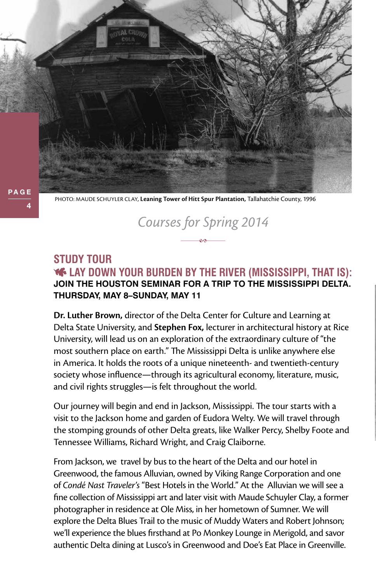PHOTO: Maude Schuyler Clay, **Leaning Tower of Hitt Spur Plantation,** Tallahatchie County, 1996

### **Study Tour Lay Down Your Burden by the River (Mississippi, That Is): Join the Houston Seminar for a trip to the Mississippi Delta. Thursday, May 8–Sunday, May 11**

*Courses for Spring 2014*

**Dr. Luther Brown,** director of the Delta Center for Culture and Learning at Delta State University, and **Stephen Fox,** lecturer in architectural history at Rice University, will lead us on an exploration of the extraordinary culture of "the most southern place on earth." The Mississippi Delta is unlike anywhere else in America. It holds the roots of a unique nineteenth- and twentieth-century society whose influence—through its agricultural economy, literature, music, and civil rights struggles—is felt throughout the world.

Our journey will begin and end in Jackson, Mississippi. The tour starts with a visit to the Jackson home and garden of Eudora Welty. We will travel through the stomping grounds of other Delta greats, like Walker Percy, Shelby Foote and Tennessee Williams, Richard Wright, and Craig Claiborne.

From Jackson, we travel by bus to the heart of the Delta and our hotel in Greenwood, the famous Alluvian, owned by Viking Range Corporation and one of *Condé Nast Traveler's* "Best Hotels in the World." At the Alluvian we will see a fine collection of Mississippi art and later visit with Maude Schuyler Clay, a former photographer in residence at Ole Miss, in her hometown of Sumner. We will explore the Delta Blues Trail to the music of Muddy Waters and Robert Johnson; we'll experience the blues firsthand at Po Monkey Lounge in Merigold, and savor authentic Delta dining at Lusco's in Greenwood and Doe's Eat Place in Greenville.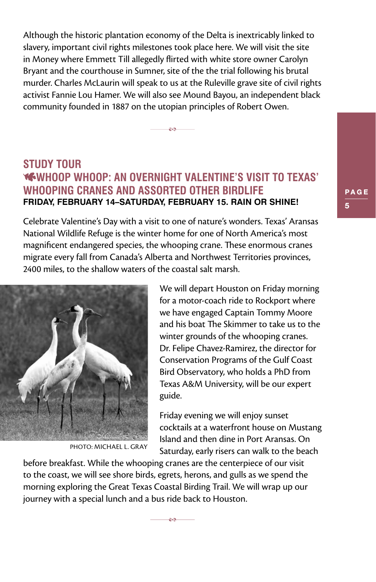Although the historic plantation economy of the Delta is inextricably linked to slavery, important civil rights milestones took place here. We will visit the site in Money where Emmett Till allegedly flirted with white store owner Carolyn Bryant and the courthouse in Sumner, site of the the trial following his brutal murder. Charles McLaurin will speak to us at the Ruleville grave site of civil rights activist Fannie Lou Hamer. We will also see Mound Bayou, an independent black community founded in 1887 on the utopian principles of Robert Owen.

e۵

### **Study Tour Whoop Whoop: An Overnight Valentine's Visit to Texas' Whooping Cranes and Assorted Other Birdlife Friday, February 14–Saturday, February 15. Rain or Shine!**

Celebrate Valentine's Day with a visit to one of nature's wonders. Texas' Aransas National Wildlife Refuge is the winter home for one of North America's most magnificent endangered species, the whooping crane. These enormous cranes migrate every fall from Canada's Alberta and Northwest Territories provinces, 2400 miles, to the shallow waters of the coastal salt marsh.



PHOTO: Michael L. Gray

We will depart Houston on Friday morning for a motor-coach ride to Rockport where we have engaged Captain Tommy Moore and his boat The Skimmer to take us to the winter grounds of the whooping cranes. Dr. Felipe Chavez-Ramirez, the director for Conservation Programs of the Gulf Coast Bird Observatory, who holds a PhD from Texas A&M University, will be our expert guide.

Friday evening we will enjoy sunset cocktails at a waterfront house on Mustang Island and then dine in Port Aransas. On Saturday, early risers can walk to the beach

before breakfast. While the whooping cranes are the centerpiece of our visit to the coast, we will see shore birds, egrets, herons, and gulls as we spend the morning exploring the Great Texas Coastal Birding Trail. We will wrap up our journey with a special lunch and a bus ride back to Houston.

ee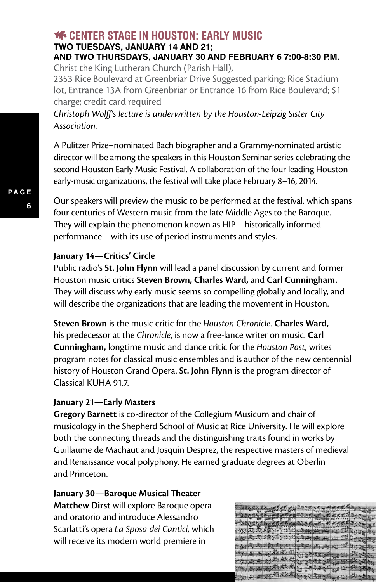### **CENTER STAGE IN HOUSTON: EARLY MUSIC Two Tuesdays, January 14 and 21;**

### **and two Thursdays, January 30 and February 6 7:00-8:30 p.m.**  Christ the King Lutheran Church (Parish Hall),

2353 Rice Boulevard at Greenbriar Drive Suggested parking: Rice Stadium lot, Entrance 13A from Greenbriar or Entrance 16 from Rice Boulevard; \$1 charge; credit card required

*Christoph Wolff's lecture is underwritten by the Houston-Leipzig Sister City Association.*

A Pulitzer Prize–nominated Bach biographer and a Grammy-nominated artistic director will be among the speakers in this Houston Seminar series celebrating the second Houston Early Music Festival. A collaboration of the four leading Houston early-music organizations, the festival will take place February 8–16, 2014.

Our speakers will preview the music to be performed at the festival, which spans four centuries of Western music from the late Middle Ages to the Baroque. They will explain the phenomenon known as HIP—historically informed performance—with its use of period instruments and styles.

### **January 14—Critics' Circle**

Public radio's **St. John Flynn** will lead a panel discussion by current and former Houston music critics **Steven Brown, Charles Ward,** and **Carl Cunningham.** They will discuss why early music seems so compelling globally and locally, and will describe the organizations that are leading the movement in Houston.

**Steven Brown** is the music critic for the *Houston Chronicle.* **Charles Ward,**  his predecessor at the *Chronicle*, is now a free-lance writer on music. **Carl Cunningham,** longtime music and dance critic for the *Houston Post,* writes program notes for classical music ensembles and is author of the new centennial history of Houston Grand Opera. **St. John Flynn** is the program director of Classical KUHA 91.7.

### **January 21—Early Masters**

**Gregory Barnett** is co-director of the Collegium Musicum and chair of musicology in the Shepherd School of Music at Rice University. He will explore both the connecting threads and the distinguishing traits found in works by Guillaume de Machaut and Josquin Desprez, the respective masters of medieval and Renaissance vocal polyphony. He earned graduate degrees at Oberlin and Princeton.

**January 30—Baroque Musical Theater Matthew Dirst** will explore Baroque opera and oratorio and introduce Alessandro Scarlatti's opera *La Sposa dei Cantici,* which will receive its modern world premiere in

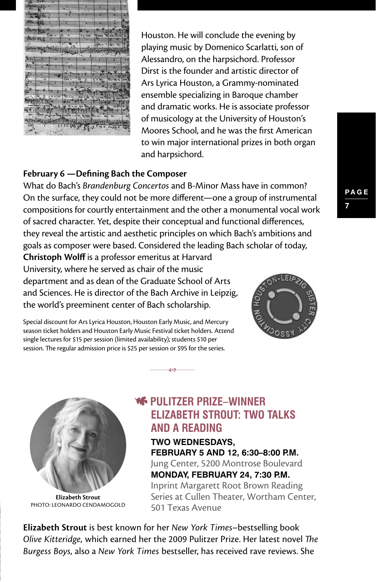

Houston. He will conclude the evening by playing music by Domenico Scarlatti, son of Alessandro, on the harpsichord. Professor Dirst is the founder and artistic director of Ars Lyrica Houston, a Grammy-nominated ensemble specializing in Baroque chamber and dramatic works. He is associate professor of musicology at the University of Houston's Moores School, and he was the first American to win major international prizes in both organ and harpsichord.

### **February 6 —Defining Bach the Composer**

What do Bach's *Brandenburg Concertos* and B-Minor Mass have in common? On the surface, they could not be more different—one a group of instrumental compositions for courtly entertainment and the other a monumental vocal work of sacred character. Yet, despite their conceptual and functional differences, they reveal the artistic and aesthetic principles on which Bach's ambitions and goals as composer were based. Considered the leading Bach scholar of today,

eÃ

**Christoph Wolff** is a professor emeritus at Harvard University, where he served as chair of the music department and as dean of the Graduate School of Arts and Sciences. He is director of the Bach Archive in Leipzig, the world's preeminent center of Bach scholarship.

Special discount for Ars Lyrica Houston, Houston Early Music, and Mercury season ticket holders and Houston Early Music Festival ticket holders. Attend single lectures for \$15 per session (limited availability); students \$10 per session. The regular admission price is \$25 per session or \$95 for the series.



**Elizabeth Strout**  PHOTO: Leonardo Cendamogold

### **Pulitzer Prize–Winner Elizabeth Strout: Two Talks and a Reading**

**Two Wednesdays, February 5 and 12, 6:30–8:00 p.m.** 

Jung Center, 5200 Montrose Boulevard **Monday, February 24, 7:30 p.m.** 

Inprint Margarett Root Brown Reading Series at Cullen Theater, Wortham Center, 501 Texas Avenue

**Elizabeth Strout** is best known for her *New York Times*–bestselling book *Olive Kitteridge,* which earned her the 2009 Pulitzer Prize. Her latest novel *The Burgess Boys,* also a *New York Times* bestseller, has received rave reviews. She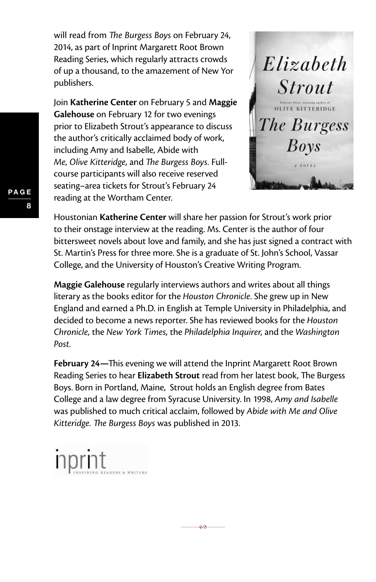will read from *The Burgess Boys* on February 24, 2014, as part of Inprint Margarett Root Brown Reading Series, which regularly attracts crowds of up a thousand, to the amazement of New Yor publishers.

Join **Katherine Center** on February 5 and **Maggie Galehouse** on February 12 for two evenings prior to Elizabeth Strout's appearance to discuss the author's critically acclaimed body of work, including Amy and Isabelle, Abide with *Me, Olive Kitteridge,* and *The Burgess Boys.* Fullcourse participants will also receive reserved seating–area tickets for Strout's February 24 reading at the Wortham Center.



Houstonian **Katherine Center** will share her passion for Strout's work prior to their onstage interview at the reading. Ms. Center is the author of four bittersweet novels about love and family, and she has just signed a contract with St. Martin's Press for three more. She is a graduate of St. John's School, Vassar College, and the University of Houston's Creative Writing Program.

**Maggie Galehouse** regularly interviews authors and writes about all things literary as the books editor for the *Houston Chronicle.* She grew up in New England and earned a Ph.D. in English at Temple University in Philadelphia, and decided to become a news reporter. She has reviewed books for the *Houston Chronicle,* the *New York Times,* the *Philadelphia Inquirer,* and the *Washington Post.*

**February 24—**This evening we will attend the Inprint Margarett Root Brown Reading Series to hear **Elizabeth Strout** read from her latest book, The Burgess Boys. Born in Portland, Maine, Strout holds an English degree from Bates College and a law degree from Syracuse University. In 1998, *Amy and Isabelle* was published to much critical acclaim, followed by *Abide with Me and Olive Kitteridge. The Burgess Boys* was published in 2013.

eA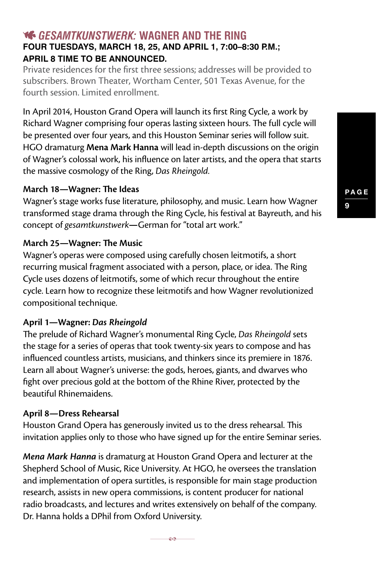### *Gesamtkunstwerk:* **Wagner and the Ring Four Tuesdays, March 18, 25, and April 1, 7:00–8:30 p.m.; April 8 time to be announced.**

Private residences for the first three sessions; addresses will be provided to subscribers. Brown Theater, Wortham Center, 501 Texas Avenue, for the fourth session. Limited enrollment.

In April 2014, Houston Grand Opera will launch its first Ring Cycle, a work by Richard Wagner comprising four operas lasting sixteen hours. The full cycle will be presented over four years, and this Houston Seminar series will follow suit. HGO dramaturg **Mena Mark Hanna** will lead in-depth discussions on the origin of Wagner's colossal work, his influence on later artists, and the opera that starts the massive cosmology of the Ring, *Das Rheingold.*

### **March 18—Wagner: The Ideas**

Wagner's stage works fuse literature, philosophy, and music. Learn how Wagner transformed stage drama through the Ring Cycle, his festival at Bayreuth, and his concept of *gesamtkunstwerk***—**German for "total art work."

### **March 25—Wagner: The Music**

Wagner's operas were composed using carefully chosen leitmotifs, a short recurring musical fragment associated with a person, place, or idea. The Ring Cycle uses dozens of leitmotifs, some of which recur throughout the entire cycle. Learn how to recognize these leitmotifs and how Wagner revolutionized compositional technique.

### **April 1—Wagner:** *Das Rheingold*

The prelude of Richard Wagner's monumental Ring Cycle, *Das Rheingold* sets the stage for a series of operas that took twenty-six years to compose and has influenced countless artists, musicians, and thinkers since its premiere in 1876. Learn all about Wagner's universe: the gods, heroes, giants, and dwarves who fight over precious gold at the bottom of the Rhine River, protected by the beautiful Rhinemaidens.

### **April 8—Dress Rehearsal**

Houston Grand Opera has generously invited us to the dress rehearsal. This invitation applies only to those who have signed up for the entire Seminar series.

*Mena Mark Hanna* is dramaturg at Houston Grand Opera and lecturer at the Shepherd School of Music, Rice University. At HGO, he oversees the translation and implementation of opera surtitles, is responsible for main stage production research, assists in new opera commissions, is content producer for national radio broadcasts, and lectures and writes extensively on behalf of the company. Dr. Hanna holds a DPhil from Oxford University.

eø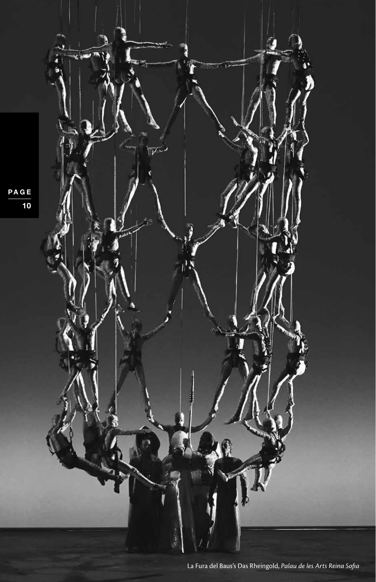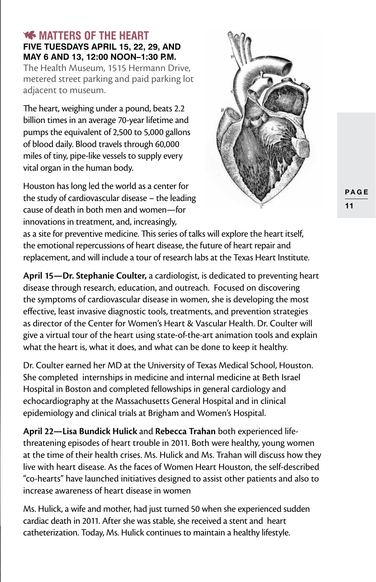### **WE MATTERS OF THE HEART Five Tuesdays April 15, 22, 29, and May 6 and 13, 12:00 Noon–1:30 p.m.**

The Health Museum, 1515 Hermann Drive, metered street parking and paid parking lot adjacent to museum.

The heart, weighing under a pound, beats 2.2 billion times in an average 70-year lifetime and pumps the equivalent of 2,500 to 5,000 gallons of blood daily. Blood travels through 60,000 miles of tiny, pipe-like vessels to supply every vital organ in the human body.

Houston has long led the world as a center for the study of cardiovascular disease – the leading cause of death in both men and women—for innovations in treatment, and, increasingly,



as a site for preventive medicine. This series of talks will explore the heart itself, the emotional repercussions of heart disease, the future of heart repair and replacement, and will include a tour of research labs at the Texas Heart Institute.

**April 15—Dr. Stephanie Coulter,** a cardiologist, is dedicated to preventing heart disease through research, education, and outreach. Focused on discovering the symptoms of cardiovascular disease in women, she is developing the most effective, least invasive diagnostic tools, treatments, and prevention strategies as director of the Center for Women's Heart & Vascular Health. Dr. Coulter will give a virtual tour of the heart using state-of-the-art animation tools and explain what the heart is, what it does, and what can be done to keep it healthy.

Dr. Coulter earned her MD at the University of Texas Medical School, Houston. She completed internships in medicine and internal medicine at Beth Israel Hospital in Boston and completed fellowships in general cardiology and echocardiography at the Massachusetts General Hospital and in clinical epidemiology and clinical trials at Brigham and Women's Hospital.

**April 22—Lisa Bundick Hulick** and **Rebecca Trahan** both experienced lifethreatening episodes of heart trouble in 2011. Both were healthy, young women at the time of their health crises. Ms. Hulick and Ms. Trahan will discuss how they live with heart disease. As the faces of Women Heart Houston, the self-described "co-hearts" have launched initiatives designed to assist other patients and also to increase awareness of heart disease in women

Ms. Hulick, a wife and mother, had just turned 50 when she experienced sudden cardiac death in 2011. After she was stable, she received a stent and heart catheterization. Today, Ms. Hulick continues to maintain a healthy lifestyle.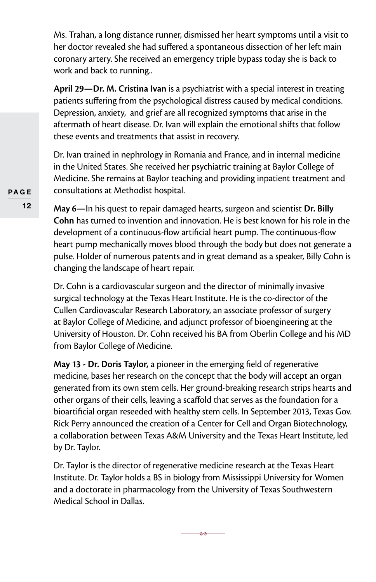Ms. Trahan, a long distance runner, dismissed her heart symptoms until a visit to her doctor revealed she had suffered a spontaneous dissection of her left main coronary artery. She received an emergency triple bypass today she is back to work and back to running..

**April 29—Dr. M. Cristina Ivan** is a psychiatrist with a special interest in treating patients suffering from the psychological distress caused by medical conditions. Depression, anxiety, and grief are all recognized symptoms that arise in the aftermath of heart disease. Dr. Ivan will explain the emotional shifts that follow these events and treatments that assist in recovery.

Dr. Ivan trained in nephrology in Romania and France, and in internal medicine in the United States. She received her psychiatric training at Baylor College of Medicine. She remains at Baylor teaching and providing inpatient treatment and consultations at Methodist hospital.

**May 6—**In his quest to repair damaged hearts, surgeon and scientist **Dr. Billy Cohn** has turned to invention and innovation. He is best known for his role in the development of a continuous-flow artificial heart pump. The continuous-flow heart pump mechanically moves blood through the body but does not generate a pulse. Holder of numerous patents and in great demand as a speaker, Billy Cohn is changing the landscape of heart repair.

Dr. Cohn is a cardiovascular surgeon and the director of minimally invasive surgical technology at the Texas Heart Institute. He is the co-director of the Cullen Cardiovascular Research Laboratory, an associate professor of surgery at Baylor College of Medicine, and adjunct professor of bioengineering at the University of Houston. Dr. Cohn received his BA from Oberlin College and his MD from Baylor College of Medicine.

**May 13 - Dr. Doris Taylor,** a pioneer in the emerging field of regenerative medicine, bases her research on the concept that the body will accept an organ generated from its own stem cells. Her ground-breaking research strips hearts and other organs of their cells, leaving a scaffold that serves as the foundation for a bioartificial organ reseeded with healthy stem cells. In September 2013, Texas Gov. Rick Perry announced the creation of a Center for Cell and Organ Biotechnology, a collaboration between Texas A&M University and the Texas Heart Institute, led by Dr. Taylor.

Dr. Taylor is the director of regenerative medicine research at the Texas Heart Institute. Dr. Taylor holds a BS in biology from Mississippi University for Women and a doctorate in pharmacology from the University of Texas Southwestern Medical School in Dallas.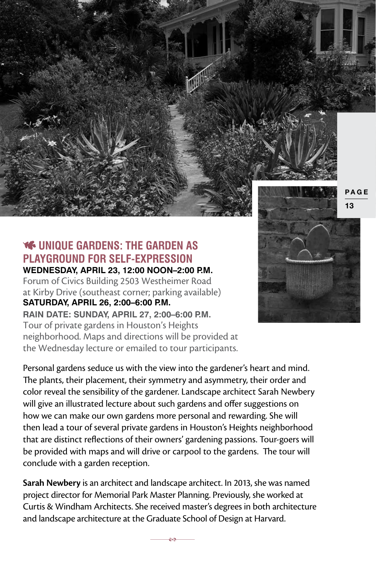

### **WE UNIQUE GARDENS: THE GARDEN AS Playground for Self-Expression Wednesday, April 23, 12:00 Noon–2:00 p.m.**

Forum of Civics Building 2503 Westheimer Road at Kirby Drive (southeast corner; parking available) **Saturday, April 26, 2:00–6:00 p.m. Rain date: Sunday, April 27, 2:00–6:00 p.m.**  Tour of private gardens in Houston's Heights neighborhood. Maps and directions will be provided at the Wednesday lecture or emailed to tour participants.

Personal gardens seduce us with the view into the gardener's heart and mind. The plants, their placement, their symmetry and asymmetry, their order and color reveal the sensibility of the gardener. Landscape architect Sarah Newbery will give an illustrated lecture about such gardens and offer suggestions on how we can make our own gardens more personal and rewarding. She will then lead a tour of several private gardens in Houston's Heights neighborhood that are distinct reflections of their owners' gardening passions. Tour-goers will be provided with maps and will drive or carpool to the gardens. The tour will conclude with a garden reception.

**Sarah Newbery** is an architect and landscape architect. In 2013, she was named project director for Memorial Park Master Planning. Previously, she worked at Curtis & Windham Architects. She received master's degrees in both architecture and landscape architecture at the Graduate School of Design at Harvard.

ē۵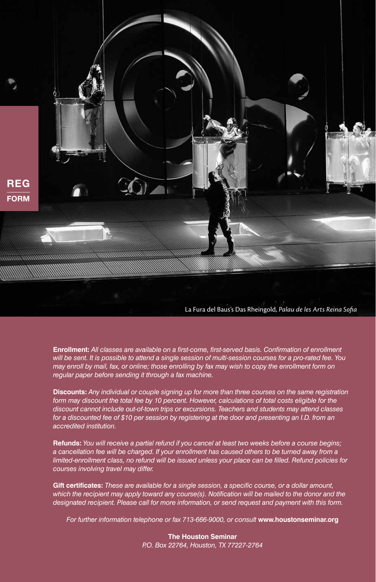

La Fura del Baus's Das Rheingold, *Palau de les Arts Reina Sofia*

**Enrollment:** *All classes are available on a first-come, first-served basis. Confirmation of enrollment will be sent. It is possible to attend a single session of multi-session courses for a pro-rated fee. You may enroll by mail, fax, or online; those enrolling by fax may wish to copy the enrollment form on regular paper before sending it through a fax machine.* 

**Discounts:** *Any individual or couple signing up for more than three courses on the same registration form may discount the total fee by 10 percent. However, calculations of total costs eligible for the discount cannot include out-of-town trips or excursions. Teachers and students may attend classes*  for a discounted fee of \$10 per session by registering at the door and presenting an I.D. from an *accredited institution.*

**Refunds:** *You will receive a partial refund if you cancel at least two weeks before a course begins; a cancellation fee will be charged. If your enrollment has caused others to be turned away from a limited-enrollment class, no refund will be issued unless your place can be filled. Refund policies for courses involving travel may differ.*

**Gift certificates:** *These are available for a single session, a specific course, or a dollar amount, which the recipient may apply toward any course(s). Notification will be mailed to the donor and the designated recipient. Please call for more information, or send request and payment with this form.*

*For further information telephone or fax 713-666-9000, or consult* **www.houstonseminar.org**

**The Houston Seminar** *P.O. Box 22764, Houston, TX 77227-2764*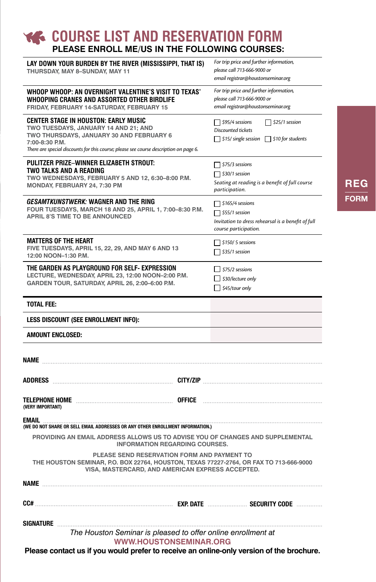### **COURSE LIST AND RESERVATION FORM please enroll me/us in the following courses:**

| LAY DOWN YOUR BURDEN BY THE RIVER (MISSISSIPPI, THAT IS)<br>THURSDAY, MAY 8-SUNDAY, MAY 11                                                                                                                                          | For trip price and further information,<br>please call 713-666-9000 or<br>email registrar@houstonseminar.org                    |
|-------------------------------------------------------------------------------------------------------------------------------------------------------------------------------------------------------------------------------------|---------------------------------------------------------------------------------------------------------------------------------|
| WHOOP WHOOP: AN OVERNIGHT VALENTINE'S VISIT TO TEXAS'<br>WHOOPING CRANES AND ASSORTED OTHER BIRDLIFE<br>FRIDAY, FEBRUARY 14-SATURDAY, FEBRUARY 15                                                                                   | For trip price and further information,<br>please call 713-666-9000 or<br>email registrar@houstonseminar.org                    |
| CENTER STAGE IN HOUSTON: EARLY MUSIC<br>TWO TUESDAYS, JANUARY 14 AND 21; AND<br>TWO THURSDAYS, JANUARY 30 AND FEBRUARY 6<br>7:00-8:30 P.M.<br>There are special discounts for this course; please see course description on page 6. | $\Box$ \$25/1 session<br>$\Box$ \$95/4 sessions<br>Discounted tickets<br>$\Box$ \$15/ single session $\Box$ \$10 for students   |
| PULITZER PRIZE-WINNER ELIZABETH STROUT:<br>TWO TALKS AND A READING<br>TWO WEDNESDAYS, FEBRUARY 5 AND 12, 6:30-8:00 P.M.<br>MONDAY, FEBRUARY 24, 7:30 PM                                                                             | $\Box$ \$75/3 sessions<br>$\Box$ \$30/1 session<br>Seating at reading is a benefit of full course<br>participation.             |
| <i>GESAMTKUNSTWERK:</i> WAGNER AND THE RING<br>FOUR TUESDAYS, MARCH 18 AND 25, APRIL 1, 7:00-8:30 P.M.<br><b>APRIL 8'S TIME TO BE ANNOUNCED</b>                                                                                     | $\Box$ \$165/4 sessions<br>$\Box$ \$55/1 session<br>Invitation to dress rehearsal is a benefit of full<br>course participation. |
| MATTERS OF THE HEART<br>FIVE TUESDAYS, APRIL 15, 22, 29, AND MAY 6 AND 13<br>12:00 NOON-1:30 P.M.                                                                                                                                   | $\Box$ \$150/ 5 sessions<br>$\Box$ \$35/1 session                                                                               |
| THE GARDEN AS PLAYGROUND FOR SELF- EXPRESSION<br>LECTURE, WEDNESDAY, APRIL 23, 12:00 NOON-2:00 P.M.<br>GARDEN TOUR, SATURDAY, APRIL 26, 2:00-6:00 P.M.                                                                              | $575/2$ sessions<br>$\Box$ \$30/lecture only<br>$\Box$ \$45/tour only                                                           |
| <b>TOTAL FEE:</b>                                                                                                                                                                                                                   |                                                                                                                                 |
| LESS DISCOUNT (SEE ENROLLMENT INFO):                                                                                                                                                                                                |                                                                                                                                 |
| <b>AMOUNT ENCLOSED:</b>                                                                                                                                                                                                             |                                                                                                                                 |
| <b>NAME</b>                                                                                                                                                                                                                         |                                                                                                                                 |
|                                                                                                                                                                                                                                     |                                                                                                                                 |
| (VERY IMPORTANT)                                                                                                                                                                                                                    |                                                                                                                                 |
| EMAIL<br>(WE DO NOT SHARE OR SELL EMAIL ADDRESSES OR ANY OTHER ENROLLMENT INFORMATION.)                                                                                                                                             |                                                                                                                                 |
| PROVIDING AN EMAIL ADDRESS ALLOWS US TO ADVISE YOU OF CHANGES AND SUPPLEMENTAL<br><b>INFORMATION REGARDING COURSES.</b>                                                                                                             |                                                                                                                                 |
| PLEASE SEND RESERVATION FORM AND PAYMENT TO<br>THE HOUSTON SEMINAR, P.O. BOX 22764, HOUSTON, TEXAS 77227-2764, OR FAX TO 713-666-9000<br>VISA, MASTERCARD, AND AMERICAN EXPRESS ACCEPTED.                                           |                                                                                                                                 |
|                                                                                                                                                                                                                                     |                                                                                                                                 |
| CC#                                                                                                                                                                                                                                 |                                                                                                                                 |
| SIGNATURE<br>The Houston Seminar is pleased to offer online enrollment at<br><b>WWW.HOUSTONSEMINAR.ORG</b>                                                                                                                          |                                                                                                                                 |

**Please contact us if you would prefer to receive an online-only version of the brochure.**

## **FORM** REG